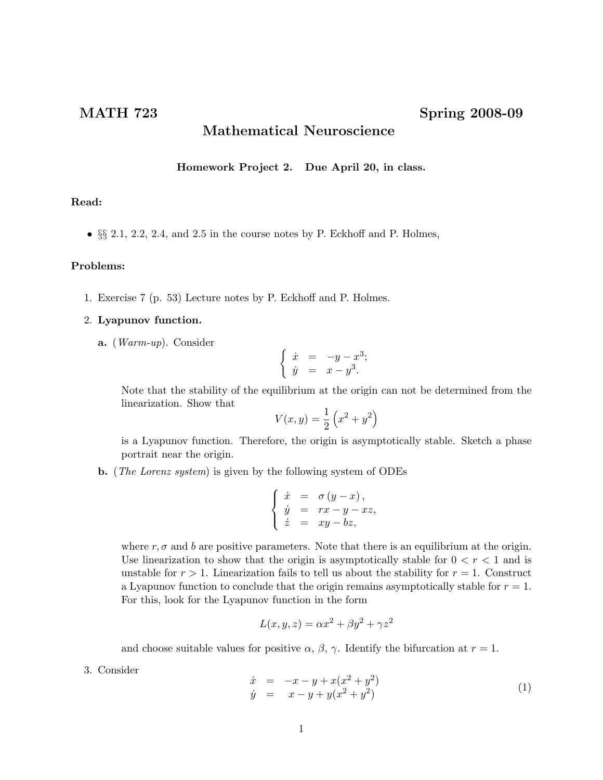## Mathematical Neuroscience

Homework Project 2. Due April 20, in class.

## Read:

• §§ 2.1, 2.2, 2.4, and 2.5 in the course notes by P. Eckhoff and P. Holmes,

## Problems:

1. Exercise 7 (p. 53) Lecture notes by P. Eckhoff and P. Holmes.

## 2. Lyapunov function.

a. (Warm-up). Consider

$$
\begin{cases} \dot{x} = -y - x^3; \\ \dot{y} = x - y^3. \end{cases}
$$

Note that the stability of the equilibrium at the origin can not be determined from the linearization. Show that

$$
V(x, y) = \frac{1}{2} (x^2 + y^2)
$$

is a Lyapunov function. Therefore, the origin is asymptotically stable. Sketch a phase portrait near the origin.

b. (The Lorenz system) is given by the following system of ODEs

$$
\begin{cases}\n\dot{x} = \sigma (y - x), \\
\dot{y} = rx - y - xz, \\
\dot{z} = xy - bz,\n\end{cases}
$$

where  $r, \sigma$  and b are positive parameters. Note that there is an equilibrium at the origin. Use linearization to show that the origin is asymptotically stable for  $0 < r < 1$  and is unstable for  $r > 1$ . Linearization fails to tell us about the stability for  $r = 1$ . Construct a Lyapunov function to conclude that the origin remains asymptotically stable for  $r = 1$ . For this, look for the Lyapunov function in the form

$$
L(x, y, z) = \alpha x^2 + \beta y^2 + \gamma z^2
$$

and choose suitable values for positive  $\alpha$ ,  $\beta$ ,  $\gamma$ . Identify the bifurcation at  $r = 1$ .

3. Consider

$$
\begin{array}{rcl}\n\dot{x} & = & -x - y + x(x^2 + y^2) \\
\dot{y} & = & x - y + y(x^2 + y^2)\n\end{array} \tag{1}
$$